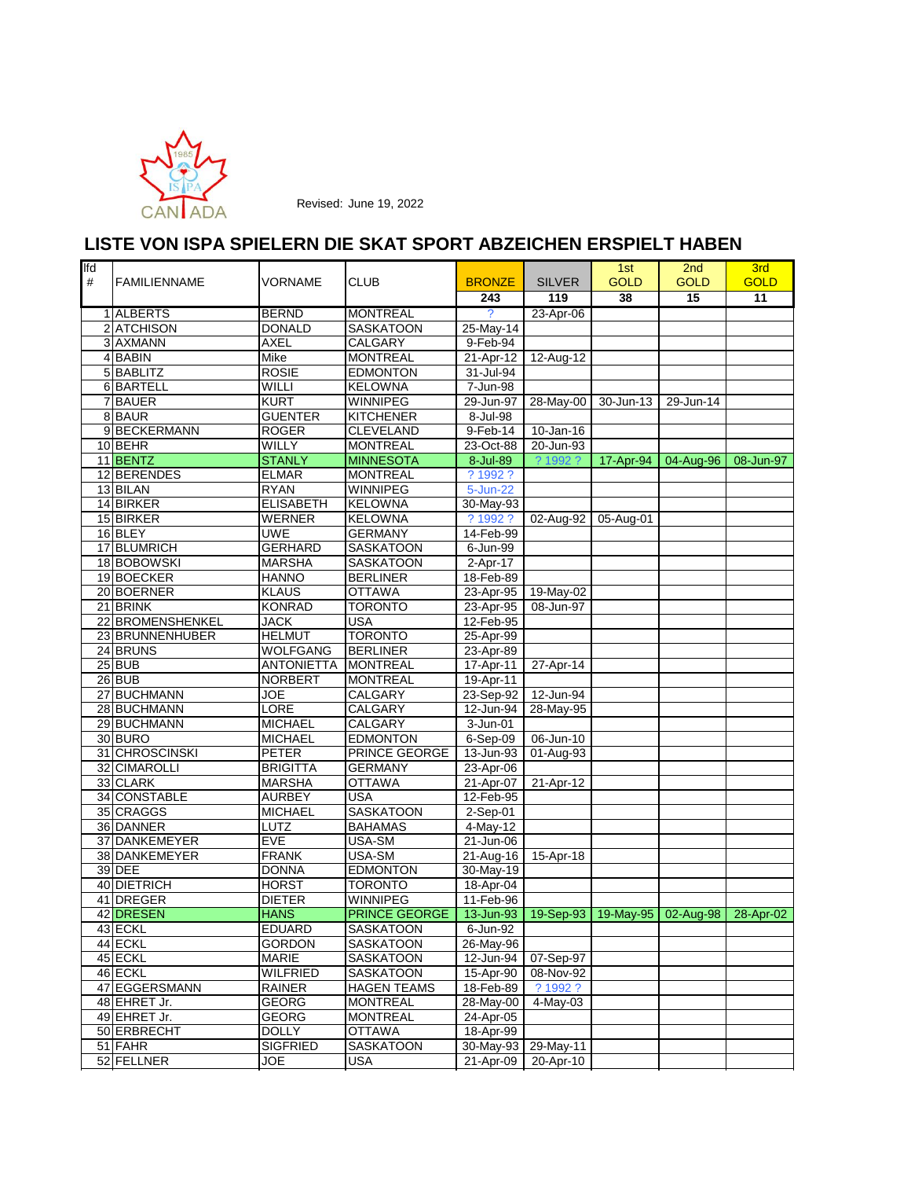

| lfd<br># | <b>FAMILIENNAME</b> | VORNAME           | <b>CLUB</b>          | <b>BRONZE</b>  | <b>SILVER</b> | 1st<br><b>GOLD</b>                | 2 <sub>nd</sub><br><b>GOLD</b> | 3rd<br><b>GOLD</b> |
|----------|---------------------|-------------------|----------------------|----------------|---------------|-----------------------------------|--------------------------------|--------------------|
|          |                     |                   |                      | 243            | 119           | 38                                | 15                             | 11                 |
|          | 1 ALBERTS           | <b>BERND</b>      | <b>MONTREAL</b>      | $\overline{?}$ | 23-Apr-06     |                                   |                                |                    |
|          | 2 ATCHISON          | <b>DONALD</b>     | SASKATOON            | 25-May-14      |               |                                   |                                |                    |
|          | 3 AXMANN            | <b>AXEL</b>       | <b>CALGARY</b>       | 9-Feb-94       |               |                                   |                                |                    |
|          | 4BABIN              | Mike              | <b>MONTREAL</b>      | 21-Apr-12      | 12-Aug-12     |                                   |                                |                    |
|          | 5 BABLITZ           | <b>ROSIE</b>      | <b>EDMONTON</b>      | 31-Jul-94      |               |                                   |                                |                    |
|          | 6 BARTELL           | WILLI             | <b>KELOWNA</b>       | 7-Jun-98       |               |                                   |                                |                    |
|          | 7 BAUER             | <b>KURT</b>       | <b>WINNIPEG</b>      | 29-Jun-97      | 28-May-00     | 30-Jun-13                         | 29-Jun-14                      |                    |
|          | 8 BAUR              | <b>GUENTER</b>    | <b>KITCHENER</b>     | 8-Jul-98       |               |                                   |                                |                    |
|          | 9 BECKERMANN        | <b>ROGER</b>      | CLEVELAND            | 9-Feb-14       | 10-Jan-16     |                                   |                                |                    |
|          | 10 BEHR             | WILLY             | <b>MONTREAL</b>      | 23-Oct-88      | 20-Jun-93     |                                   |                                |                    |
|          | 11 BENTZ            | <b>STANLY</b>     | <b>MINNESOTA</b>     | 8-Jul-89       | ? 1992 ?      | 17-Apr-94                         | 04-Aug-96                      | 08-Jun-97          |
|          | 12 BERENDES         | <b>ELMAR</b>      | <b>MONTREAL</b>      | ? 1992 ?       |               |                                   |                                |                    |
|          | 13 BILAN            | <b>RYAN</b>       | <b>WINNIPEG</b>      | 5-Jun-22       |               |                                   |                                |                    |
|          | 14 BIRKER           | <b>ELISABETH</b>  | <b>KELOWNA</b>       | 30-May-93      |               |                                   |                                |                    |
|          | 15 BIRKER           | <b>WERNER</b>     | <b>KELOWNA</b>       | ? 1992 ?       | 02-Aug-92     | 05-Aug-01                         |                                |                    |
|          | 16 BLEY             | <b>UWE</b>        | <b>GERMANY</b>       | 14-Feb-99      |               |                                   |                                |                    |
|          | 17 BLUMRICH         | <b>GERHARD</b>    | SASKATOON            | 6-Jun-99       |               |                                   |                                |                    |
|          | 18 BOBOWSKI         | <b>MARSHA</b>     | <b>SASKATOON</b>     | 2-Apr-17       |               |                                   |                                |                    |
|          | 19 BOECKER          | <b>HANNO</b>      | <b>BERLINER</b>      | 18-Feb-89      |               |                                   |                                |                    |
|          | 20 BOERNER          | <b>KLAUS</b>      | <b>OTTAWA</b>        | 23-Apr-95      | 19-May-02     |                                   |                                |                    |
|          | 21 BRINK            | <b>KONRAD</b>     | <b>TORONTO</b>       | 23-Apr-95      | 08-Jun-97     |                                   |                                |                    |
|          | 22 BROMENSHENKEL    | <b>JACK</b>       | <b>USA</b>           | 12-Feb-95      |               |                                   |                                |                    |
|          | 23 BRUNNENHUBER     | <b>HELMUT</b>     | <b>TORONTO</b>       | 25-Apr-99      |               |                                   |                                |                    |
|          | 24 BRUNS            | <b>WOLFGANG</b>   | <b>BERLINER</b>      | 23-Apr-89      |               |                                   |                                |                    |
|          | 25 BUB              | <b>ANTONIETTA</b> | <b>MONTREAL</b>      | 17-Apr-11      | 27-Apr-14     |                                   |                                |                    |
|          | $26$ BUB            | <b>NORBERT</b>    | <b>MONTREAL</b>      | 19-Apr-11      |               |                                   |                                |                    |
|          | 27 BUCHMANN         | <b>JOE</b>        | CALGARY              | 23-Sep-92      | 12-Jun-94     |                                   |                                |                    |
|          | 28 BUCHMANN         | LORE              | CALGARY              | 12-Jun-94      | 28-May-95     |                                   |                                |                    |
|          | 29 BUCHMANN         | <b>MICHAEL</b>    | CALGARY              | $3 - Jun-01$   |               |                                   |                                |                    |
|          | 30 BURO             | <b>MICHAEL</b>    | <b>EDMONTON</b>      | 6-Sep-09       | 06-Jun-10     |                                   |                                |                    |
|          | 31 CHROSCINSKI      | <b>PETER</b>      | PRINCE GEORGE        | 13-Jun-93      | 01-Aug-93     |                                   |                                |                    |
|          | 32 CIMAROLLI        | <b>BRIGITTA</b>   | <b>GERMANY</b>       | 23-Apr-06      |               |                                   |                                |                    |
|          | 33 CLARK            | <b>MARSHA</b>     | <b>OTTAWA</b>        | 21-Apr-07      | 21-Apr-12     |                                   |                                |                    |
|          | 34 CONSTABLE        | <b>AURBEY</b>     | <b>USA</b>           | 12-Feb-95      |               |                                   |                                |                    |
|          | 35 CRAGGS           | <b>MICHAEL</b>    | <b>SASKATOON</b>     | 2-Sep-01       |               |                                   |                                |                    |
|          | 36 DANNER           | LUTZ              | <b>BAHAMAS</b>       | 4-May-12       |               |                                   |                                |                    |
|          | 37 DANKEMEYER       | EVE               | USA-SM               | 21-Jun-06      |               |                                   |                                |                    |
|          | 38 DANKEMEYER       | <b>FRANK</b>      | USA-SM               | 21-Aug-16      | 15-Apr-18     |                                   |                                |                    |
|          | 39 DEE              | <b>DONNA</b>      | <b>EDMONTON</b>      | 30-May-19      |               |                                   |                                |                    |
|          | 40 DIETRICH         | <b>HORST</b>      | <b>TORONTO</b>       | 18-Apr-04      |               |                                   |                                |                    |
|          | 41 DREGER           | <b>DIETER</b>     | <b>WINNIPEG</b>      | 11-Feb-96      |               |                                   |                                |                    |
|          | 42 DRESEN           | <b>HANS</b>       | <b>PRINCE GEORGE</b> | 13-Jun-93      |               | 19-Sep-93   19-May-95   02-Aug-98 |                                | 28-Apr-02          |
|          | 43 ECKL             | <b>EDUARD</b>     | <b>SASKATOON</b>     | 6-Jun-92       |               |                                   |                                |                    |
|          | 44 ECKL             | <b>GORDON</b>     | <b>SASKATOON</b>     | 26-May-96      |               |                                   |                                |                    |
|          | 45 ECKL             | MARIE             | SASKATOON            | 12-Jun-94      | 07-Sep-97     |                                   |                                |                    |
|          | 46 ECKL             | <b>WILFRIED</b>   | SASKATOON            | 15-Apr-90      | 08-Nov-92     |                                   |                                |                    |
|          | 47 EGGERSMANN       | <b>RAINER</b>     | <b>HAGEN TEAMS</b>   | 18-Feb-89      | ? 1992 ?      |                                   |                                |                    |
|          | 48 EHRET Jr.        | <b>GEORG</b>      | <b>MONTREAL</b>      | 28-May-00      | 4-May-03      |                                   |                                |                    |
|          | 49 EHRET Jr.        | <b>GEORG</b>      | <b>MONTREAL</b>      | 24-Apr-05      |               |                                   |                                |                    |
|          | 50 ERBRECHT         | <b>DOLLY</b>      | <b>OTTAWA</b>        | 18-Apr-99      |               |                                   |                                |                    |
|          | 51 FAHR             | <b>SIGFRIED</b>   | SASKATOON            | 30-May-93      | 29-May-11     |                                   |                                |                    |
|          | 52 FELLNER          | JOE               | <b>USA</b>           | 21-Apr-09      | 20-Apr-10     |                                   |                                |                    |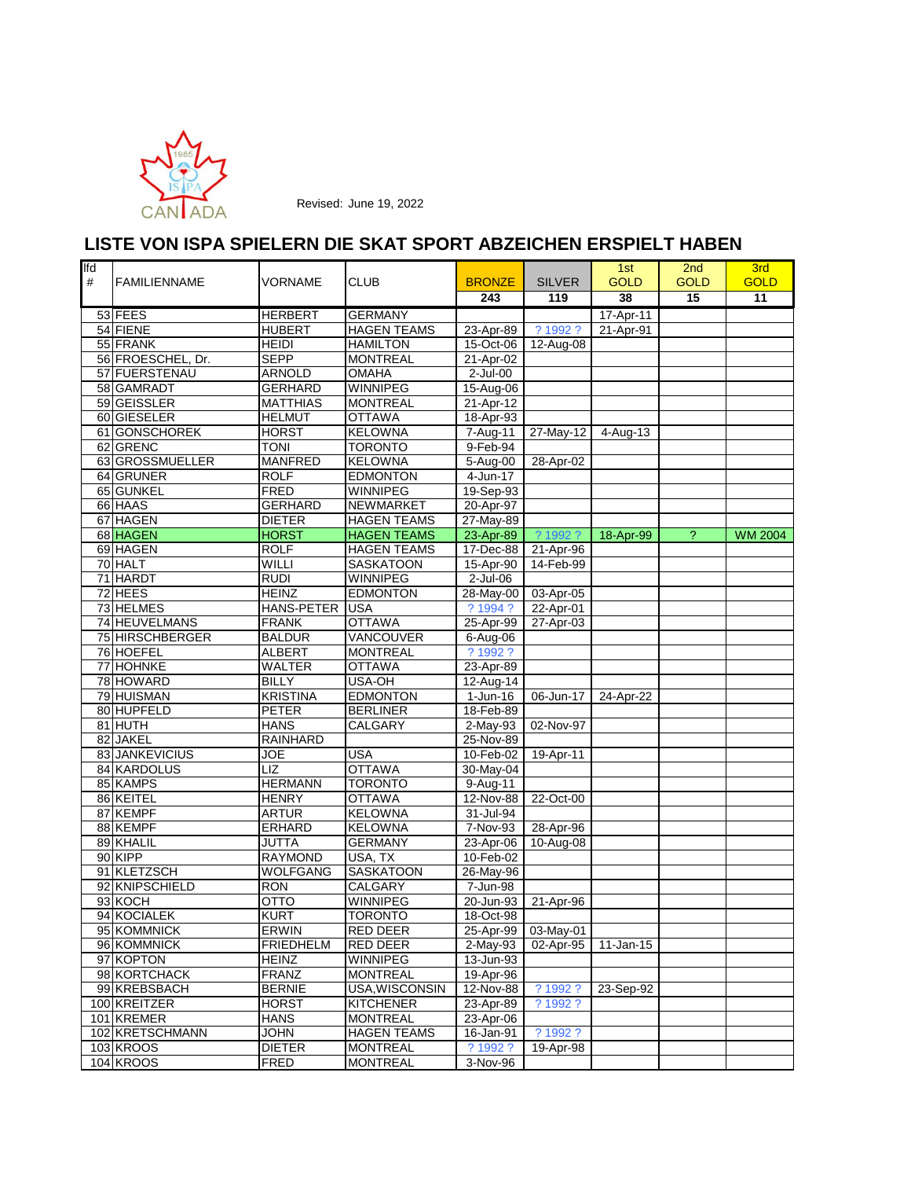

| <b>Ifd</b><br># | <b>FAMILIENNAME</b> | VORNAME           | <b>CLUB</b>        | <b>BRONZE</b>          | <b>SILVER</b>       | 1st<br><b>GOLD</b> | 2 <sub>nd</sub><br><b>GOLD</b> | 3rd<br><b>GOLD</b> |
|-----------------|---------------------|-------------------|--------------------|------------------------|---------------------|--------------------|--------------------------------|--------------------|
|                 |                     |                   |                    | 243                    | 119                 | 38                 | 15                             | 11                 |
|                 | 53 FEES             | <b>HERBERT</b>    | <b>GERMANY</b>     |                        |                     | 17-Apr-11          |                                |                    |
|                 | 54 FIENE            | <b>HUBERT</b>     | <b>HAGEN TEAMS</b> | 23-Apr-89              | ? 1992 ?            | 21-Apr-91          |                                |                    |
|                 | 55 FRANK            | <b>HEIDI</b>      | <b>HAMILTON</b>    | 15-Oct-06              | 12-Aug-08           |                    |                                |                    |
|                 | 56 FROESCHEL, Dr.   | <b>SEPP</b>       | <b>MONTREAL</b>    | 21-Apr-02              |                     |                    |                                |                    |
|                 | 57 FUERSTENAU       | <b>ARNOLD</b>     | <b>OMAHA</b>       | $2$ -Jul-00            |                     |                    |                                |                    |
|                 | 58 GAMRADT          | <b>GERHARD</b>    | WINNIPEG           | 15-Aug-06              |                     |                    |                                |                    |
|                 | 59 GEISSLER         | <b>MATTHIAS</b>   | <b>MONTREAL</b>    | 21-Apr-12              |                     |                    |                                |                    |
|                 | 60 GIESELER         | <b>HELMUT</b>     | <b>OTTAWA</b>      | 18-Apr-93              |                     |                    |                                |                    |
|                 | 61 GONSCHOREK       | <b>HORST</b>      | <b>KELOWNA</b>     | 7-Aug-11               | $27$ -May-12        | 4-Aug-13           |                                |                    |
|                 | 62 GRENC            | <b>TONI</b>       | <b>TORONTO</b>     | 9-Feb-94               |                     |                    |                                |                    |
|                 | 63 GROSSMUELLER     | <b>MANFRED</b>    | <b>KELOWNA</b>     | 5-Aug-00               | 28-Apr-02           |                    |                                |                    |
|                 | 64 GRUNER           | <b>ROLF</b>       | <b>EDMONTON</b>    | 4-Jun-17               |                     |                    |                                |                    |
|                 | 65 GUNKEL           | <b>FRED</b>       | <b>WINNIPEG</b>    | 19-Sep-93              |                     |                    |                                |                    |
|                 | 66 HAAS             | <b>GERHARD</b>    | NEWMARKET          | 20-Apr-97              |                     |                    |                                |                    |
|                 | 67 HAGEN            | <b>DIETER</b>     | <b>HAGEN TEAMS</b> | 27-May-89              |                     |                    |                                |                    |
|                 | 68 HAGEN            | <b>HORST</b>      | <b>HAGEN TEAMS</b> | 23-Apr-89              | ? 1992 ?            | 18-Apr-99          | $\overline{?}$                 | <b>WM 2004</b>     |
|                 | 69 HAGEN            | <b>ROLF</b>       | <b>HAGEN TEAMS</b> | 17-Dec-88              | 21-Apr-96           |                    |                                |                    |
|                 | 70 HALT             | WILLI             | <b>SASKATOON</b>   | 15-Apr-90              | 14-Feb-99           |                    |                                |                    |
|                 | 71 HARDT            | <b>RUDI</b>       | WINNIPEG           | $2$ -Jul-06            |                     |                    |                                |                    |
|                 | 72 HEES             | <b>HEINZ</b>      | <b>EDMONTON</b>    | 28-May-00              | 03-Apr-05           |                    |                                |                    |
|                 | 73 HELMES           | <b>HANS-PETER</b> | <b>USA</b>         | ? 1994 ?               | 22-Apr-01           |                    |                                |                    |
|                 | 74 HEUVELMANS       | <b>FRANK</b>      | <b>OTTAWA</b>      | 25-Apr-99              | 27-Apr-03           |                    |                                |                    |
|                 | 75 HIRSCHBERGER     | <b>BALDUR</b>     | <b>VANCOUVER</b>   | 6-Aug-06               |                     |                    |                                |                    |
|                 | 76 HOEFEL           | <b>ALBERT</b>     | <b>MONTREAL</b>    | ? 1992 ?               |                     |                    |                                |                    |
|                 | 77 HOHNKE           | <b>WALTER</b>     | <b>OTTAWA</b>      | 23-Apr-89              |                     |                    |                                |                    |
|                 | 78 HOWARD           | <b>BILLY</b>      | USA-OH             | 12-Aug-14              |                     |                    |                                |                    |
|                 | 79 HUISMAN          | <b>KRISTINA</b>   | <b>EDMONTON</b>    | $1$ -Jun-16            | 06-Jun-17           | 24-Apr-22          |                                |                    |
|                 | 80 HUPFELD          | <b>PETER</b>      | <b>BERLINER</b>    | 18-Feb-89              |                     |                    |                                |                    |
|                 | 81 HUTH             | <b>HANS</b>       | CALGARY            | 2-May-93               | 02-Nov-97           |                    |                                |                    |
|                 | 82 JAKEL            | <b>RAINHARD</b>   |                    | 25-Nov-89              |                     |                    |                                |                    |
|                 | 83 JANKEVICIUS      | JOE               | <b>USA</b>         | 10-Feb-02              | 19-Apr-11           |                    |                                |                    |
|                 | 84 KARDOLUS         | LIZ               | <b>OTTAWA</b>      | $30-May-04$            |                     |                    |                                |                    |
|                 | 85 KAMPS            | <b>HERMANN</b>    | <b>TORONTO</b>     | 9-Aug-11               |                     |                    |                                |                    |
|                 | 86 KEITEL           | <b>HENRY</b>      | <b>OTTAWA</b>      | 12-Nov-88              | 22-Oct-00           |                    |                                |                    |
|                 | 87 KEMPF            | <b>ARTUR</b>      | <b>KELOWNA</b>     | 31-Jul-94              |                     |                    |                                |                    |
|                 | 88 KEMPF            | <b>ERHARD</b>     | <b>KELOWNA</b>     | $7-Nov-93$             | 28-Apr-96           |                    |                                |                    |
|                 | 89 KHALIL           | <b>JUTTA</b>      | <b>GERMANY</b>     | 23-Apr-06              | 10-Aug-08           |                    |                                |                    |
|                 | 90 KIPP             | <b>RAYMOND</b>    | USA, TX            | 10-Feb-02              |                     |                    |                                |                    |
|                 | 91 KLETZSCH         | <b>WOLFGANG</b>   | SASKATOON          | 26-May-96              |                     |                    |                                |                    |
|                 | 92 KNIPSCHIELD      | <b>RON</b>        | CALGARY            | 7-Jun-98               |                     |                    |                                |                    |
|                 | 93 KOCH             | OTTO              | <b>WINNIPEG</b>    | $20 - Jun-93$          | 21-Apr-96           |                    |                                |                    |
|                 | 94 KOCIALEK         | <b>KURT</b>       | <b>TORONTO</b>     | 18-Oct-98              |                     |                    |                                |                    |
|                 | 95 KOMMNICK         | <b>ERWIN</b>      | <b>RED DEER</b>    |                        | 25-Apr-99 03-May-01 |                    |                                |                    |
|                 | 96 KOMMNICK         | <b>FRIEDHELM</b>  | <b>RED DEER</b>    | $\overline{2}$ -May-93 | 02-Apr-95           | 11-Jan-15          |                                |                    |
|                 | 97 KOPTON           | <b>HEINZ</b>      | WINNIPEG           | 13-Jun-93              |                     |                    |                                |                    |
|                 | 98 KORTCHACK        | <b>FRANZ</b>      | <b>MONTREAL</b>    | 19-Apr-96              |                     |                    |                                |                    |
|                 | 99 KREBSBACH        | <b>BERNIE</b>     | USA, WISCONSIN     | 12-Nov-88              | ? 1992 ?            | 23-Sep-92          |                                |                    |
|                 | 100 KREITZER        | <b>HORST</b>      | <b>KITCHENER</b>   | 23-Apr-89              | ? 1992 ?            |                    |                                |                    |
|                 | 101 KREMER          | <b>HANS</b>       | <b>MONTREAL</b>    | 23-Apr-06              |                     |                    |                                |                    |
|                 | 102 KRETSCHMANN     | <b>JOHN</b>       | <b>HAGEN TEAMS</b> | 16-Jan-91              | ? 1992 ?            |                    |                                |                    |
|                 | <b>103 KROOS</b>    | <b>DIETER</b>     | <b>MONTREAL</b>    | ? 1992 ?               | 19-Apr-98           |                    |                                |                    |
|                 | 104 KROOS           | <b>FRED</b>       | <b>MONTREAL</b>    | 3-Nov-96               |                     |                    |                                |                    |
|                 |                     |                   |                    |                        |                     |                    |                                |                    |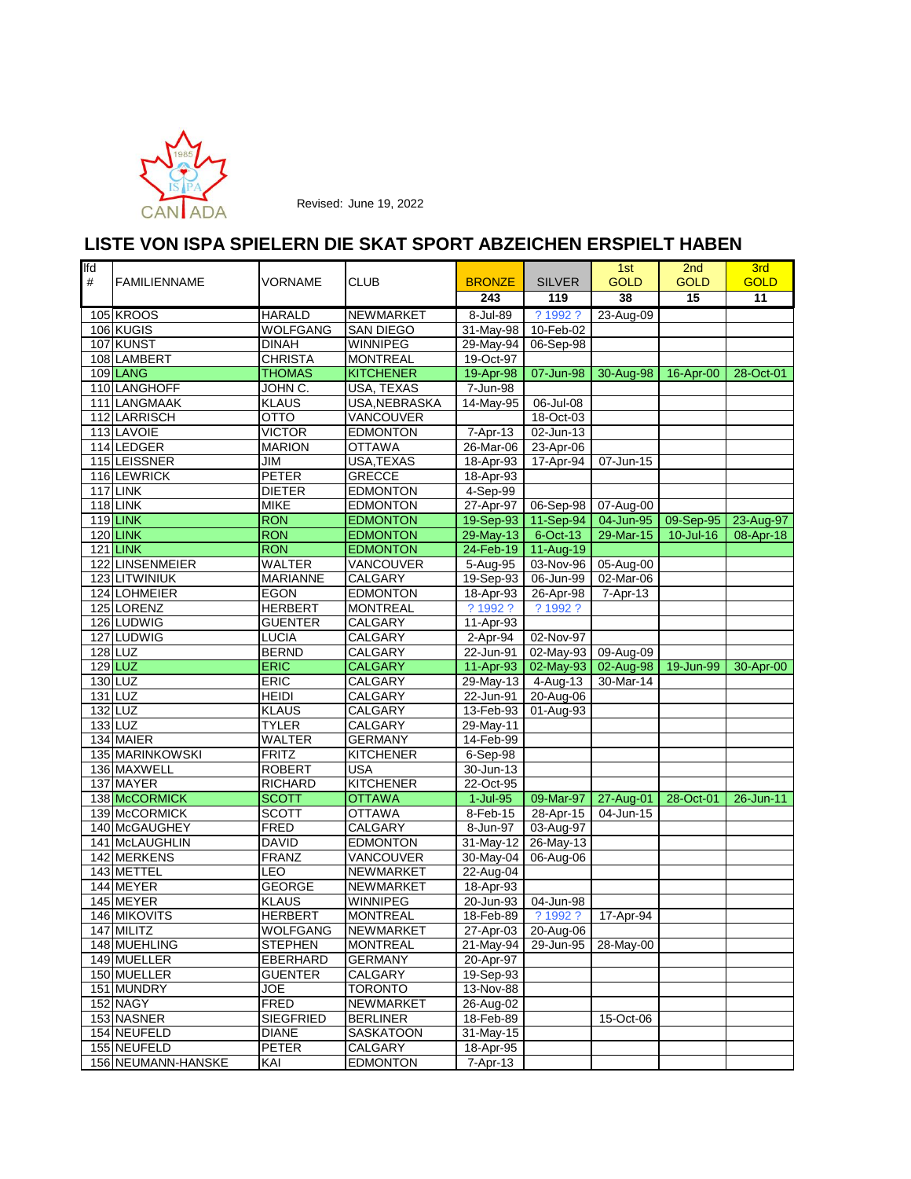

| lfd<br># | <b>FAMILIENNAME</b> | VORNAME                      | <b>CLUB</b>               | <b>BRONZE</b>          | <b>SILVER</b>           | 1st<br><b>GOLD</b>               | 2 <sub>nd</sub><br><b>GOLD</b> | 3rd<br><b>GOLD</b> |
|----------|---------------------|------------------------------|---------------------------|------------------------|-------------------------|----------------------------------|--------------------------------|--------------------|
|          |                     |                              |                           | 243                    | 119                     | 38                               | $\overline{15}$                | 11                 |
|          | 105 KROOS           | <b>HARALD</b>                | <b>NEWMARKET</b>          | 8-Jul-89               | ? 1992 ?                | 23-Aug-09                        |                                |                    |
|          | 106 KUGIS           | <b>WOLFGANG</b>              | <b>SAN DIEGO</b>          | 31-May-98              | 10-Feb-02               |                                  |                                |                    |
|          | 107 KUNST           | <b>DINAH</b>                 | WINNIPEG                  | 29-May-94              | 06-Sep-98               |                                  |                                |                    |
|          | 108 LAMBERT         | <b>CHRISTA</b>               | <b>MONTREAL</b>           | 19-Oct-97              |                         |                                  |                                |                    |
|          | 109 LANG            | <b>THOMAS</b>                | <b>KITCHENER</b>          | 19-Apr-98              | 07-Jun-98               | 30-Aug-98 16-Apr-00              |                                | 28-Oct-01          |
|          | 110 LANGHOFF        | JOHN C.                      | <b>USA, TEXAS</b>         | 7-Jun-98               |                         |                                  |                                |                    |
|          | 111 LANGMAAK        | <b>KLAUS</b>                 | <b>USA, NEBRASKA</b>      | 14-May-95              | 06-Jul-08               |                                  |                                |                    |
|          | 112 LARRISCH        | <b>OTTO</b>                  | VANCOUVER                 |                        | 18-Oct-03               |                                  |                                |                    |
|          | 113 LAVOIE          | <b>VICTOR</b>                | <b>EDMONTON</b>           | 7-Apr-13               | 02-Jun-13               |                                  |                                |                    |
|          | 114 LEDGER          | <b>MARION</b>                | <b>OTTAWA</b>             | 26-Mar-06              | 23-Apr-06               |                                  |                                |                    |
|          | 115 LEISSNER        | <b>JIM</b>                   | USA, TEXAS                | 18-Apr-93              | 17-Apr-94               | $\overline{07}$ -Jun-15          |                                |                    |
|          | 116 LEWRICK         | <b>PETER</b>                 | <b>GRECCE</b>             | 18-Apr-93              |                         |                                  |                                |                    |
|          | 117 LINK            | <b>DIETER</b>                | <b>EDMONTON</b>           | 4-Sep-99               |                         |                                  |                                |                    |
|          | <b>118 LINK</b>     | <b>MIKE</b>                  | <b>EDMONTON</b>           | 27-Apr-97              | 06-Sep-98               | 07-Aug-00                        |                                |                    |
|          | <b>119 LINK</b>     | <b>RON</b>                   | <b>EDMONTON</b>           |                        | 19-Sep-93 11-Sep-94     | 04-Jun-95                        | 09-Sep-95                      | 23-Aug-97          |
|          | <b>120 LINK</b>     | <b>RON</b>                   | <b>EDMONTON</b>           | 29-May-13              | 6-Oct-13                | 29-Mar-15                        | $10$ -Jul-16                   | 08-Apr-18          |
|          | <b>121 LINK</b>     | <b>RON</b>                   | <b>EDMONTON</b>           |                        | 24-Feb-19 11-Aug-19     |                                  |                                |                    |
|          | 122 LINSENMEIER     | <b>WALTER</b>                | VANCOUVER                 | 5-Aug-95               | 03-Nov-96               | 05-Aug-00                        |                                |                    |
|          | 123 LITWINIUK       | <b>MARIANNE</b>              | CALGARY                   | 19-Sep-93              | 06-Jun-99               | $02$ -Mar-06                     |                                |                    |
|          | 124 LOHMEIER        | <b>EGON</b>                  | <b>EDMONTON</b>           | 18-Apr-93              | 26-Apr-98               | 7-Apr-13                         |                                |                    |
|          | 125 LORENZ          | <b>HERBERT</b>               | <b>MONTREAL</b>           | ? 1992 ?               | ? 1992 ?                |                                  |                                |                    |
|          | 126 LUDWIG          | <b>GUENTER</b>               | CALGARY                   | 11-Apr-93              |                         |                                  |                                |                    |
|          | 127 LUDWIG          | <b>LUCIA</b><br><b>BERND</b> | <b>CALGARY</b>            | 2-Apr-94               | 02-Nov-97               |                                  |                                |                    |
|          | 128 LUZ             |                              | CALGARY                   | 22-Jun-91<br>11-Apr-93 | 02-May-93 09-Aug-09     |                                  | 19-Jun-99                      | 30-Apr-00          |
|          | 129 LUZ<br>130 LUZ  | <b>ERIC</b><br><b>ERIC</b>   | <b>CALGARY</b><br>CALGARY | 29-May-13 4-Aug-13     |                         | 02-May-93 02-Aug-98<br>30-Mar-14 |                                |                    |
|          | 131 LUZ             | <b>HEIDI</b>                 | <b>CALGARY</b>            | 22-Jun-91              | 20-Aug-06               |                                  |                                |                    |
|          | 132 LUZ             | <b>KLAUS</b>                 | CALGARY                   | 13-Feb-93              | $\overline{01}$ -Aug-93 |                                  |                                |                    |
|          | 133 LUZ             | <b>TYLER</b>                 | CALGARY                   | 29-May-11              |                         |                                  |                                |                    |
|          | 134 MAIER           | <b>WALTER</b>                | <b>GERMANY</b>            | 14-Feb-99              |                         |                                  |                                |                    |
|          | 135 MARINKOWSKI     | <b>FRITZ</b>                 | <b>KITCHENER</b>          | 6-Sep-98               |                         |                                  |                                |                    |
|          | 136 MAXWELL         | <b>ROBERT</b>                | <b>USA</b>                | 30-Jun-13              |                         |                                  |                                |                    |
|          | 137 MAYER           | <b>RICHARD</b>               | <b>KITCHENER</b>          | 22-Oct-95              |                         |                                  |                                |                    |
|          | 138 McCORMICK       | <b>SCOTT</b>                 | <b>OTTAWA</b>             | $1$ -Jul-95            |                         | 09-Mar-97   27-Aug-01            | 28-Oct-01                      | $26$ -Jun-11       |
|          | 139 McCORMICK       | <b>SCOTT</b>                 | <b>OTTAWA</b>             | 8-Feb-15               | 28-Apr-15               | 04-Jun-15                        |                                |                    |
|          | 140 McGAUGHEY       | <b>FRED</b>                  | CALGARY                   | $8 - Jun-97$           | 03-Aug-97               |                                  |                                |                    |
|          | 141 McLAUGHLIN      | <b>DAVID</b>                 | <b>EDMONTON</b>           | 31-May-12              | 26-May-13               |                                  |                                |                    |
|          | 142 MERKENS         | <b>FRANZ</b>                 | VANCOUVER                 | 30-May-04              | 06-Aug-06               |                                  |                                |                    |
|          | 143 METTEL          | LEO                          | NEWMARKET                 | 22-Aug-04              |                         |                                  |                                |                    |
|          | 144 MEYER           | <b>GEORGE</b>                | NEWMARKET                 | 18-Apr-93              |                         |                                  |                                |                    |
|          | 145 MEYER           | <b>KLAUS</b>                 | <b>WINNIPEG</b>           | 20-Jun-93              | 04-Jun-98               |                                  |                                |                    |
|          | 146 MIKOVITS        | <b>HERBERT</b>               | <b>MONTREAL</b>           | 18-Feb-89              | ? 1992 ?                | 17-Apr-94                        |                                |                    |
|          | 147 MILITZ          | <b>WOLFGANG</b>              | NEWMARKET                 |                        | 27-Apr-03 20-Aug-06     |                                  |                                |                    |
|          | 148 MUEHLING        | <b>STEPHEN</b>               | <b>MONTREAL</b>           | 21-May-94              | 29-Jun-95               | 28-May-00                        |                                |                    |
|          | 149 MUELLER         | <b>EBERHARD</b>              | <b>GERMANY</b>            | 20-Apr-97              |                         |                                  |                                |                    |
|          | 150 MUELLER         | <b>GUENTER</b>               | CALGARY                   | 19-Sep-93              |                         |                                  |                                |                    |
|          | 151 MUNDRY          | <b>JOE</b>                   | <b>TORONTO</b>            | 13-Nov-88              |                         |                                  |                                |                    |
|          | 152 NAGY            | <b>FRED</b>                  | NEWMARKET                 | 26-Aug-02              |                         |                                  |                                |                    |
|          | 153 NASNER          | <b>SIEGFRIED</b>             | <b>BERLINER</b>           | 18-Feb-89              |                         | 15-Oct-06                        |                                |                    |
|          | 154 NEUFELD         | <b>DIANE</b>                 | SASKATOON                 | 31-May-15              |                         |                                  |                                |                    |
|          | 155 NEUFELD         | <b>PETER</b>                 | CALGARY                   | 18-Apr-95              |                         |                                  |                                |                    |
|          | 156 NEUMANN-HANSKE  | KAI                          | <b>EDMONTON</b>           | 7-Apr-13               |                         |                                  |                                |                    |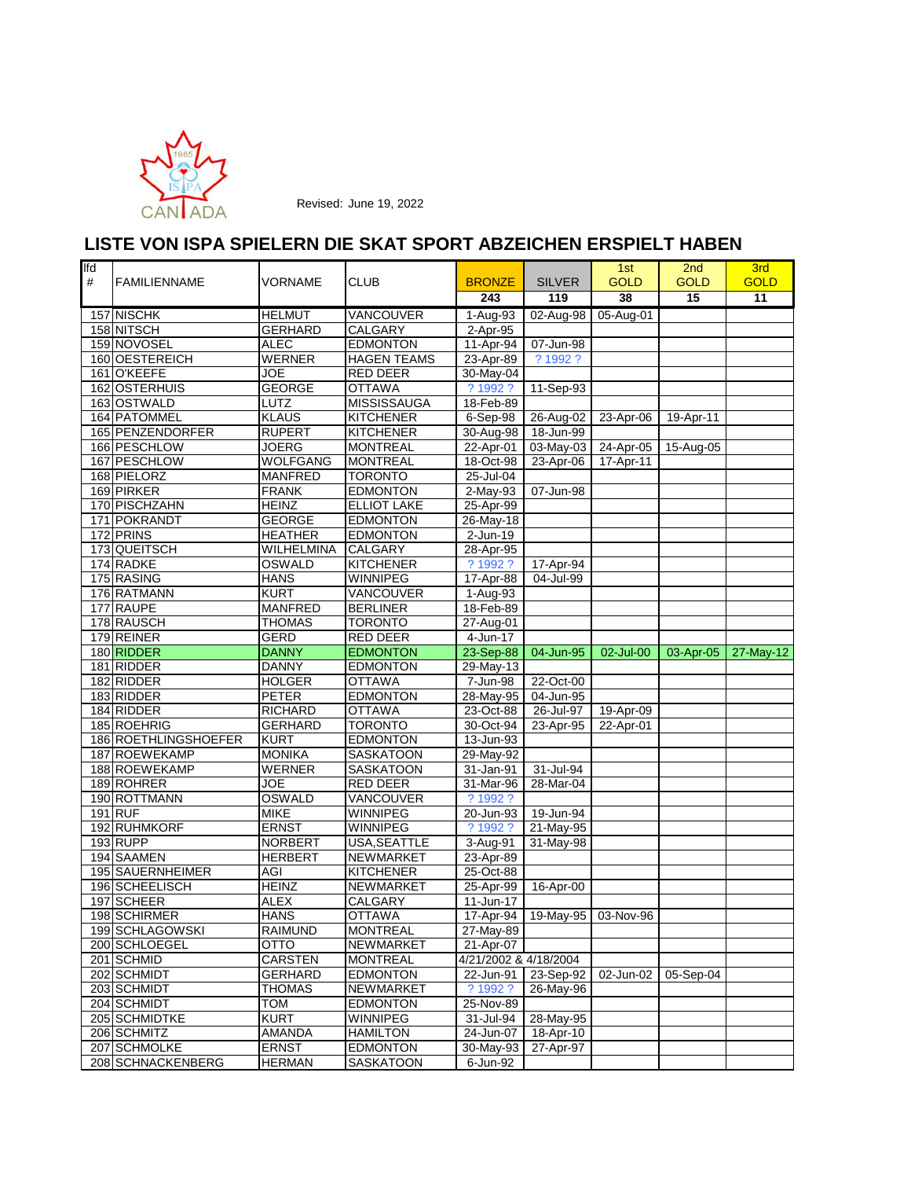

| lfd |                                  |                               |                                      |                        |                                   | 1st         | 2 <sub>nd</sub> | 3rd         |
|-----|----------------------------------|-------------------------------|--------------------------------------|------------------------|-----------------------------------|-------------|-----------------|-------------|
| #   | <b>FAMILIENNAME</b>              | VORNAME                       | <b>CLUB</b>                          | <b>BRONZE</b>          | <b>SILVER</b>                     | <b>GOLD</b> | <b>GOLD</b>     | <b>GOLD</b> |
|     |                                  |                               |                                      | 243                    | 119                               | 38          | 15              | 11          |
|     | 157 NISCHK                       | <b>HELMUT</b>                 | VANCOUVER                            | 1-Aug-93               | 02-Aug-98 05-Aug-01               |             |                 |             |
|     | 158 NITSCH                       | <b>GERHARD</b>                | <b>CALGARY</b>                       | 2-Apr-95               |                                   |             |                 |             |
|     | 159 NOVOSEL                      | <b>ALEC</b>                   | <b>EDMONTON</b>                      | 11-Apr-94              | 07-Jun-98                         |             |                 |             |
|     | 160 OESTEREICH                   | <b>WERNER</b>                 | <b>HAGEN TEAMS</b>                   | 23-Apr-89              | ? 1992 ?                          |             |                 |             |
|     | 161 O'KEEFE                      | <b>JOE</b>                    | RED DEER                             | 30-May-04              |                                   |             |                 |             |
|     | 162 OSTERHUIS                    | <b>GEORGE</b>                 | <b>OTTAWA</b>                        | ? 1992 ?               | 11-Sep-93                         |             |                 |             |
|     | 163 OSTWALD                      | LUTZ                          | <b>MISSISSAUGA</b>                   | 18-Feb-89              |                                   |             |                 |             |
|     | 164 PATOMMEL<br>165 PENZENDORFER | <b>KLAUS</b>                  | <b>KITCHENER</b><br><b>KITCHENER</b> | $6-Sep-98$             | 26-Aug-02                         | 23-Apr-06   | 19-Apr-11       |             |
|     | 166 PESCHLOW                     | <b>RUPERT</b><br><b>JOERG</b> | <b>MONTREAL</b>                      | 30-Aug-98<br>22-Apr-01 | 18-Jun-99<br>03-May-03            | 24-Apr-05   | 15-Aug-05       |             |
|     | 167 PESCHLOW                     | <b>WOLFGANG</b>               | <b>MONTREAL</b>                      | 18-Oct-98              | 23-Apr-06                         | 17-Apr-11   |                 |             |
|     | 168 PIELORZ                      | <b>MANFRED</b>                | <b>TORONTO</b>                       | 25-Jul-04              |                                   |             |                 |             |
|     | 169 PIRKER                       | <b>FRANK</b>                  | <b>EDMONTON</b>                      | 2-May-93               | 07-Jun-98                         |             |                 |             |
|     | 170 PISCHZAHN                    | <b>HEINZ</b>                  | <b>ELLIOT LAKE</b>                   | 25-Apr-99              |                                   |             |                 |             |
|     | 171 POKRANDT                     | <b>GEORGE</b>                 | <b>EDMONTON</b>                      | 26-May-18              |                                   |             |                 |             |
|     | 172 PRINS                        | <b>HEATHER</b>                | <b>EDMONTON</b>                      | $2$ -Jun-19            |                                   |             |                 |             |
|     | 173 QUEITSCH                     | <b>WILHELMINA</b>             | <b>CALGARY</b>                       | 28-Apr-95              |                                   |             |                 |             |
|     | 174 RADKE                        | OSWALD                        | <b>KITCHENER</b>                     | ? 1992 ?               | 17-Apr-94                         |             |                 |             |
|     | 175 RASING                       | <b>HANS</b>                   | <b>WINNIPEG</b>                      | 17-Apr-88              | 04-Jul-99                         |             |                 |             |
|     | 176 RATMANN                      | <b>KURT</b>                   | VANCOUVER                            | 1-Aug-93               |                                   |             |                 |             |
|     | 177 RAUPE                        | <b>MANFRED</b>                | <b>BERLINER</b>                      | 18-Feb-89              |                                   |             |                 |             |
|     | 178 RAUSCH                       | <b>THOMAS</b>                 | <b>TORONTO</b>                       | 27-Aug-01              |                                   |             |                 |             |
|     | 179 REINER                       | GERD                          | <b>RED DEER</b>                      | 4-Jun-17               |                                   |             |                 |             |
|     | 180 RIDDER                       | <b>DANNY</b>                  | <b>EDMONTON</b>                      | 23-Sep-88              | 04-Jun-95                         | 02-Jul-00   | 03-Apr-05       | 27-May-12   |
|     | 181 RIDDER                       | <b>DANNY</b>                  | <b>EDMONTON</b>                      | 29-May-13              |                                   |             |                 |             |
|     | 182 RIDDER                       | <b>HOLGER</b>                 | <b>OTTAWA</b>                        | 7-Jun-98               | 22-Oct-00                         |             |                 |             |
|     | 183 RIDDER                       | <b>PETER</b>                  | <b>EDMONTON</b>                      | 28-May-95              | 04-Jun-95                         |             |                 |             |
|     | 184 RIDDER                       | <b>RICHARD</b>                | <b>OTTAWA</b>                        | 23-Oct-88              | 26-Jul-97                         | 19-Apr-09   |                 |             |
|     | 185 ROEHRIG                      | <b>GERHARD</b>                | <b>TORONTO</b>                       | 30-Oct-94              | 23-Apr-95                         | 22-Apr-01   |                 |             |
|     | 186 ROETHLINGSHOEFER             | <b>KURT</b>                   | <b>EDMONTON</b>                      | 13-Jun-93              |                                   |             |                 |             |
|     | 187 ROEWEKAMP                    | <b>MONIKA</b>                 | <b>SASKATOON</b>                     | 29-May-92              |                                   |             |                 |             |
|     | 188 ROEWEKAMP                    | <b>WERNER</b>                 | SASKATOON                            | 31-Jan-91              | 31-Jul-94                         |             |                 |             |
|     | 189 ROHRER                       | <b>JOE</b>                    | RED DEER                             | 31-Mar-96              | 28-Mar-04                         |             |                 |             |
|     | 190 ROTTMANN                     | OSWALD                        | VANCOUVER                            | ? 1992 ?               |                                   |             |                 |             |
|     | 191 RUF                          | <b>MIKE</b>                   | <b>WINNIPEG</b>                      | 20-Jun-93              | 19-Jun-94                         |             |                 |             |
|     | 192 RUHMKORF                     | <b>ERNST</b>                  | <b>WINNIPEG</b>                      | ? 1992 ?               | 21-May-95                         |             |                 |             |
|     | 193 RUPP                         | <b>NORBERT</b>                | USA, SEATTLE                         | 3-Aug-91               | 31-May-98                         |             |                 |             |
|     | 194 SAAMEN                       | <b>HERBERT</b>                | NEWMARKET                            | 23-Apr-89              |                                   |             |                 |             |
|     | 195 SAUERNHEIMER                 | AGI                           | <b>KITCHENER</b>                     | 25-Oct-88              |                                   |             |                 |             |
|     | 196 SCHEELISCH                   | <b>HEINZ</b>                  | NEWMARKET                            | 25-Apr-99              | 16-Apr-00                         |             |                 |             |
|     | 197 SCHEER                       | <b>ALEX</b>                   | CALGARY                              | 11-Jun-17              |                                   |             |                 |             |
|     | 198 SCHIRMER                     | <b>HANS</b>                   | <b>OTTAWA</b>                        |                        | 17-Apr-94   19-May-95   03-Nov-96 |             |                 |             |
|     | 199 SCHLAGOWSKI                  | <b>RAIMUND</b>                | <b>MONTREAL</b>                      | 27-May-89              |                                   |             |                 |             |
|     | 200 SCHLOEGEL                    | отто                          | <b>NEWMARKET</b>                     | 21-Apr-07              |                                   |             |                 |             |
|     | 201 SCHMID                       | <b>CARSTEN</b>                | <b>MONTREAL</b>                      | 4/21/2002 & 4/18/2004  |                                   |             |                 |             |
|     | 202 SCHMIDT                      | <b>GERHARD</b>                | <b>EDMONTON</b>                      | 22-Jun-91              | 23-Sep-92                         | 02-Jun-02   | 05-Sep-04       |             |
|     | 203 SCHMIDT                      | <b>THOMAS</b>                 | <b>NEWMARKET</b>                     | ? 1992 ?               | 26-May-96                         |             |                 |             |
|     | 204 SCHMIDT                      | <b>TOM</b>                    | <b>EDMONTON</b>                      | 25-Nov-89              |                                   |             |                 |             |
|     | 205 SCHMIDTKE                    | <b>KURT</b><br><b>AMANDA</b>  | WINNIPEG<br><b>HAMILTON</b>          | 31-Jul-94              | 28-May-95<br>18-Apr-10            |             |                 |             |
|     | 206 SCHMITZ<br>207 SCHMOLKE      | <b>ERNST</b>                  | <b>EDMONTON</b>                      | 24-Jun-07<br>30-May-93 | 27-Apr-97                         |             |                 |             |
|     |                                  |                               | <b>SASKATOON</b>                     |                        |                                   |             |                 |             |
|     | 208 SCHNACKENBERG                | <b>HERMAN</b>                 |                                      | 6-Jun-92               |                                   |             |                 |             |